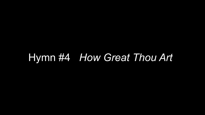#### Hymn #4 *How Great Thou Art*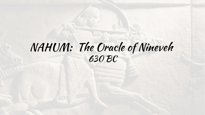#### NAHUM: The Oracle of Nineveh 630 BC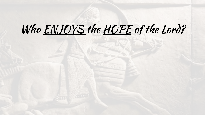# Who ENJOYS the HOPE of the Lord?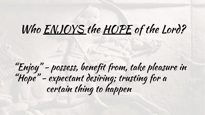# Who ENJOYS the HOPE of the Lord?

"Enjoy" - possess, benefit from, take pleasure in "Hope" - expectant desiring; trusting for a certain thing to happen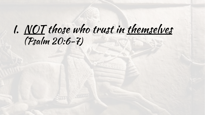#### I. NOT those who trust in themselves (Psalm 20:6-7)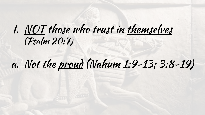#### I. NOT those who trust in themselves (Psalm 20:7)

## a. Not the proud (Nahum 1:9-13; 3:8-19)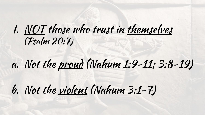#### I. NOT those who trust in themselves (Psalm 20:7)

# a. Not the proud (Nahum 1:9-11; 3:8-19)

## b. Not the violent (Nahum 3:1-7)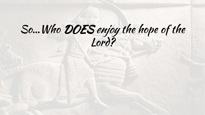## So…Who DOES enjoy the hope of the Lord?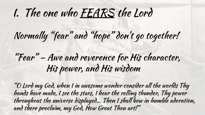Normally "fear" and "hope" don't go together!

#### "Fear" – Awe and reverence for His character, His power, and His wisdom

"O Lord my God, when I in awesome wonder consider all the worlds Thy hands have made, I see the stars, I hear the rolling thunder, Thy power throughout the universe displayed… Then I shall bow in humble adoration, and there proclaim, my God, How Great Thou art!"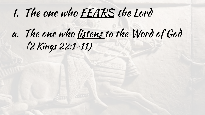### a. The one who listens to the Word of God (2 Kings 22:1-11)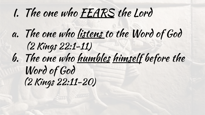a. The one who listens to the Word of God (2 Kings 22:1-11) b. The one who humbles himself before the Word of God (2 Kings 22:11-20)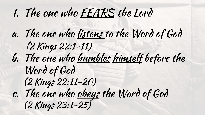a. The one who listens to the Word of God (2 Kings 22:1-11) b. The one who humbles himself before the Word of God (2 Kings 22:11-20) c. The one who obeys the Word of God (2 Kings 23:1-25)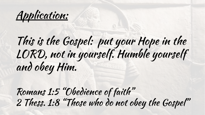Application:

# This is the Gospel: put your Hope in the LORD, not in yourself. Humble yourself and obey Him.

Romans 1:5 "Obedience of faith" 2 Thess. 1:8 "Those who do not obey the Gospel"